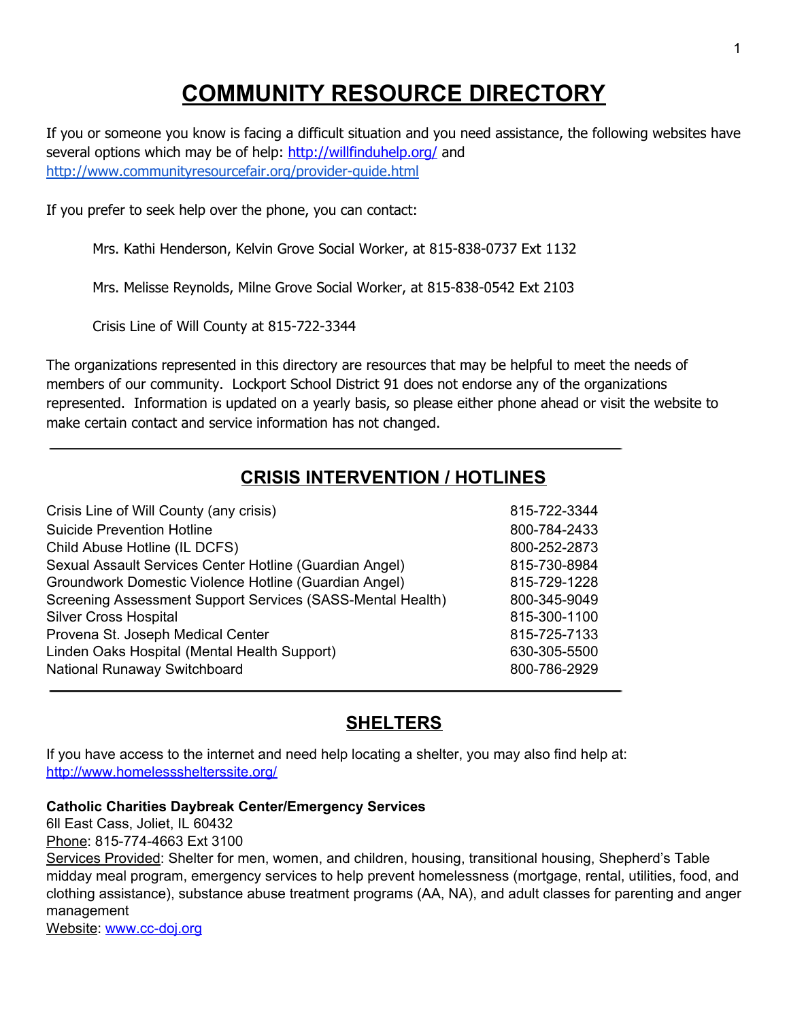# **COMMUNITY RESOURCE DIRECTORY**

If you or someone you know is facing a difficult situation and you need assistance, the following websites have several options which may be of help: <http://willfinduhelp.org/> and <http://www.communityresourcefair.org/provider-guide.html>

If you prefer to seek help over the phone, you can contact:

Mrs. Kathi Henderson, Kelvin Grove Social Worker, at 815-838-0737 Ext 1132

Mrs. Melisse Reynolds, Milne Grove Social Worker, at 815-838-0542 Ext 2103

Crisis Line of Will County at 815-722-3344

The organizations represented in this directory are resources that may be helpful to meet the needs of members of our community. Lockport School District 91 does not endorse any of the organizations represented. Information is updated on a yearly basis, so please either phone ahead or visit the website to make certain contact and service information has not changed.

# **CRISIS INTERVENTION / HOTLINES**

| Crisis Line of Will County (any crisis)                    | 815-722-3344 |
|------------------------------------------------------------|--------------|
| <b>Suicide Prevention Hotline</b>                          | 800-784-2433 |
| Child Abuse Hotline (IL DCFS)                              | 800-252-2873 |
| Sexual Assault Services Center Hotline (Guardian Angel)    | 815-730-8984 |
| Groundwork Domestic Violence Hotline (Guardian Angel)      | 815-729-1228 |
| Screening Assessment Support Services (SASS-Mental Health) | 800-345-9049 |
| <b>Silver Cross Hospital</b>                               | 815-300-1100 |
| Provena St. Joseph Medical Center                          | 815-725-7133 |
| Linden Oaks Hospital (Mental Health Support)               | 630-305-5500 |
| National Runaway Switchboard                               | 800-786-2929 |

# **SHELTERS**

If you have access to the internet and need help locating a shelter, you may also find help at: <http://www.homelessshelterssite.org/>

#### **Catholic Charities Daybreak Center/Emergency Services**

6ll East Cass, Joliet, IL 60432 Phone: 815-774-4663 Ext 3100

Services Provided: Shelter for men, women, and children, housing, transitional housing, Shepherd's Table midday meal program, emergency services to help prevent homelessness (mortgage, rental, utilities, food, and clothing assistance), substance abuse treatment programs (AA, NA), and adult classes for parenting and anger management

Website: [www.cc-doj.org](http://www.cc-doj.org/)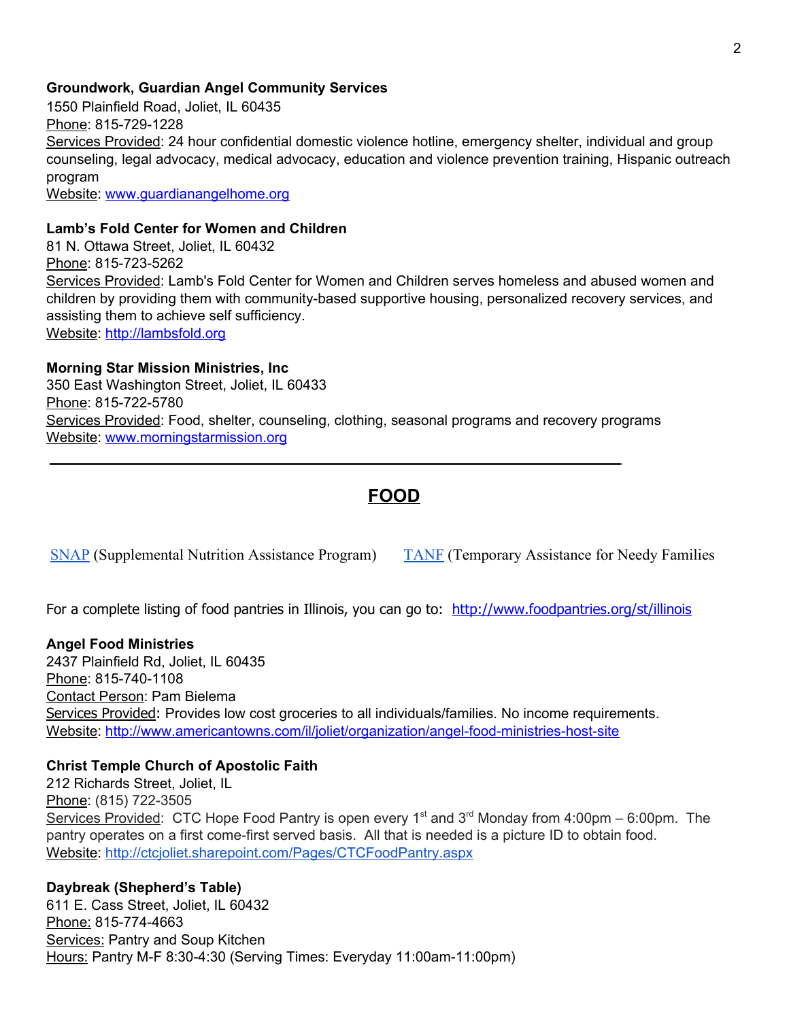#### **Groundwork, Guardian Angel Community Services**

1550 Plainfield Road, Joliet, IL 60435 Phone: 815-729-1228 Services Provided: 24 hour confidential domestic violence hotline, emergency shelter, individual and group counseling, legal advocacy, medical advocacy, education and violence prevention training, Hispanic outreach program

Website: [www.guardianangelhome.org](http://www.guardianangelhome.org/)

#### **Lamb's Fold Center for Women and Children**

81 N. Ottawa Street, Joliet, IL 60432 Phone: 815-723-5262 Services Provided: Lamb's Fold Center for Women and Children serves homeless and abused women and children by providing them with community-based supportive housing, personalized recovery services, and assisting them to achieve self sufficiency. Website: [http://lambsfold.org](http://lambsfold.org/)

#### **Morning Star Mission Ministries, Inc**

350 East Washington Street, Joliet, IL 60433 Phone: 815-722-5780 Services Provided: Food, shelter, counseling, clothing, seasonal programs and recovery programs Website: [www.morningstarmission.org](http://www.morningstarmission.org/)

# **FOOD**

[SNAP](http://www.dhs.state.il.us/page.aspx?item=30357) (Supplemental Nutrition Assistance Program) [TANF](http://www.dhs.state.il.us/page.aspx?item=30358) (Temporary Assistance for Needy Families

For a complete listing of food pantries in Illinois, you can go to: <http://www.foodpantries.org/st/illinois>

#### **Angel Food Ministries**

2437 Plainfield Rd, Joliet, IL 60435 Phone: 815-740-1108 Contact Person: Pam Bielema Services Provided: Provides low cost groceries to all individuals/families. No income requirements. Website: <http://www.americantowns.com/il/joliet/organization/angel-food-ministries-host-site>

#### **Christ Temple Church of Apostolic Faith**

212 Richards Street, Joliet, IL Phone: (815) 722-3505 Services Provided: CTC Hope Food Pantry is open every 1<sup>st</sup> and 3<sup>rd</sup> Monday from 4:00pm – 6:00pm. The pantry operates on a first come-first served basis. All that is needed is a picture ID to obtain food. Website: <http://ctcjoliet.sharepoint.com/Pages/CTCFoodPantry.aspx>

**Daybreak (Shepherd's Table)** 611 E. Cass Street, Joliet, IL 60432 Phone: 815-774-4663 Services: Pantry and Soup Kitchen Hours: Pantry M-F 8:30-4:30 (Serving Times: Everyday 11:00am-11:00pm)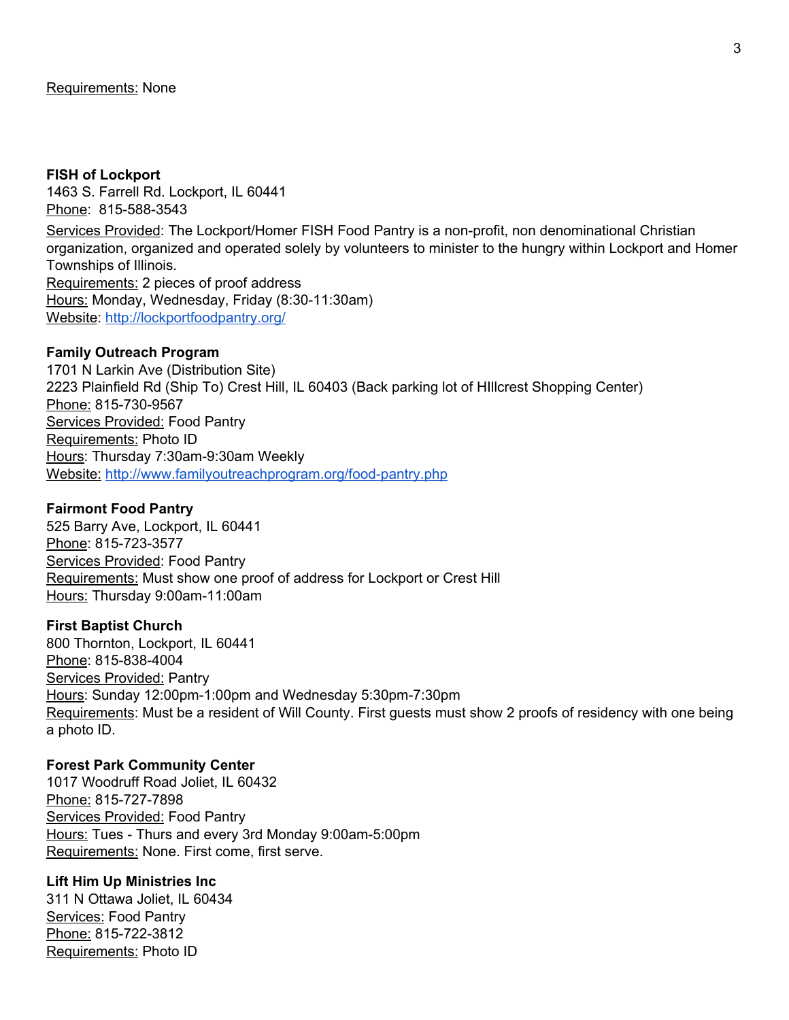#### **FISH of Lockport**

1463 S. Farrell Rd. Lockport, IL 60441 Phone: 815-588-3543 Services Provided: The Lockport/Homer FISH Food Pantry is a non-profit, non denominational Christian organization, organized and operated solely by volunteers to minister to the hungry within Lockport and Homer Townships of Illinois. Requirements: 2 pieces of proof address Hours: Monday, Wednesday, Friday (8:30-11:30am) Website: <http://lockportfoodpantry.org/>

#### **Family Outreach Program**

1701 N Larkin Ave (Distribution Site) 2223 Plainfield Rd (Ship To) Crest Hill, IL 60403 (Back parking lot of HIllcrest Shopping Center) Phone: 815-730-9567 Services Provided: Food Pantry Requirements: Photo ID Hours: Thursday 7:30am-9:30am Weekly Website: <http://www.familyoutreachprogram.org/food-pantry.php>

#### **Fairmont Food Pantry**

525 Barry Ave, Lockport, IL 60441 Phone: 815-723-3577 Services Provided: Food Pantry Requirements: Must show one proof of address for Lockport or Crest Hill Hours: Thursday 9:00am-11:00am

#### **First Baptist Church**

800 Thornton, Lockport, IL 60441 Phone: 815-838-4004 Services Provided: Pantry Hours: Sunday 12:00pm-1:00pm and Wednesday 5:30pm-7:30pm Requirements: Must be a resident of Will County. First guests must show 2 proofs of residency with one being a photo ID.

#### **Forest Park Community Center**

1017 Woodruff Road Joliet, IL 60432 Phone: 815-727-7898 Services Provided: Food Pantry Hours: Tues - Thurs and every 3rd Monday 9:00am-5:00pm Requirements: None. First come, first serve.

#### **Lift Him Up Ministries Inc**

311 N Ottawa Joliet, IL 60434 Services: Food Pantry Phone: 815-722-3812 Requirements: Photo ID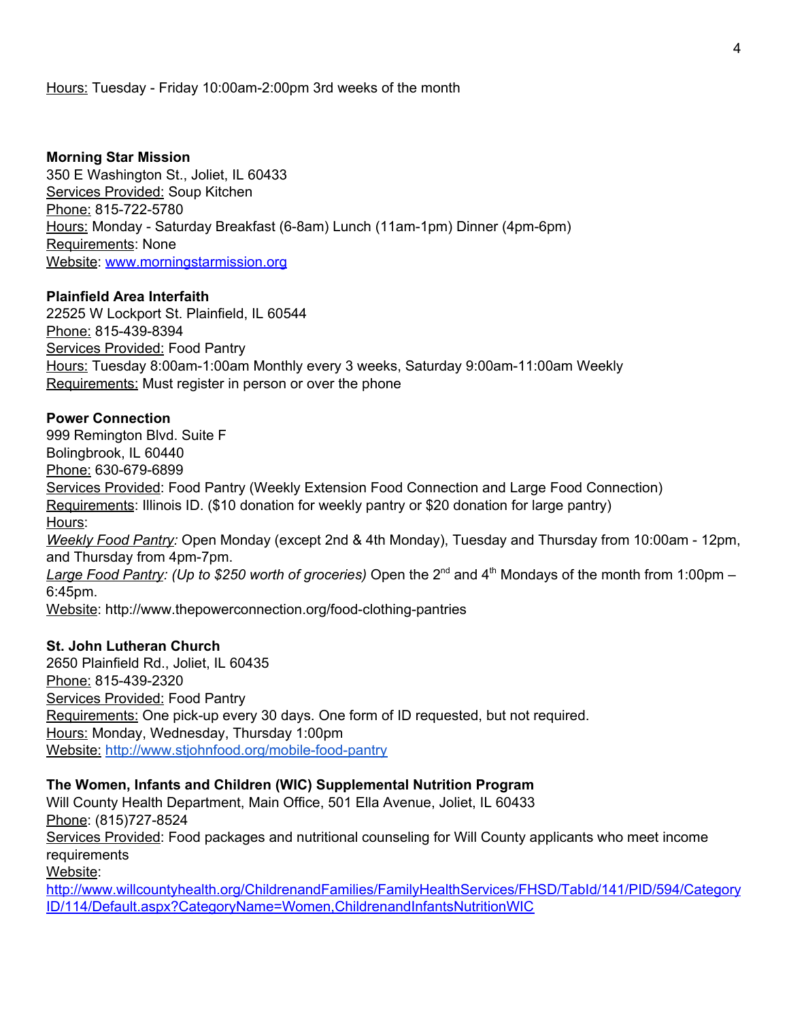#### Hours: Tuesday - Friday 10:00am-2:00pm 3rd weeks of the month

#### **Morning Star Mission**

350 E Washington St., Joliet, IL 60433 Services Provided: Soup Kitchen Phone: 815-722-5780 Hours: Monday - Saturday Breakfast (6-8am) Lunch (11am-1pm) Dinner (4pm-6pm) Requirements: None Website: [www.morningstarmission.org](http://www.morningstarmission.org/)

#### **Plainfield Area Interfaith**

22525 W Lockport St. Plainfield, IL 60544 Phone: 815-439-8394 Services Provided: Food Pantry Hours: Tuesday 8:00am-1:00am Monthly every 3 weeks, Saturday 9:00am-11:00am Weekly Requirements: Must register in person or over the phone

#### **Power Connection**

999 Remington Blvd. Suite F Bolingbrook, IL 60440 Phone: 630-679-6899 Services Provided: Food Pantry (Weekly Extension Food Connection and Large Food Connection) Requirements: Illinois ID. (\$10 donation for weekly pantry or \$20 donation for large pantry) Hours: *Weekly Food Pantry:* Open Monday (except 2nd & 4th Monday), Tuesday and Thursday from 10:00am - 12pm, and Thursday from 4pm-7pm. Large Food Pantry: (Up to \$250 worth of groceries) Open the 2<sup>nd</sup> and 4<sup>th</sup> Mondays of the month from 1:00pm – 6:45pm.

Website: http://www.thepowerconnection.org/food-clothing-pantries

#### **St. John Lutheran Church**

2650 Plainfield Rd., Joliet, IL 60435 Phone: 815-439-2320 Services Provided: Food Pantry Requirements: One pick-up every 30 days. One form of ID requested, but not required. Hours: Monday, Wednesday, Thursday 1:00pm Website: <http://www.stjohnfood.org/mobile-food-pantry>

#### **The Women, Infants and Children (WIC) Supplemental Nutrition Program**

Will County Health Department, Main Office, 501 Ella Avenue, Joliet, IL 60433 Phone: (815)727-8524 Services Provided: Food packages and nutritional counseling for Will County applicants who meet income requirements Website:

[http://www.willcountyhealth.org/ChildrenandFamilies/FamilyHealthServices/FHSD/TabId/141/PID/594/Category](http://www.willcountyhealth.org/ChildrenandFamilies/FamilyHealthServices/FHSD/TabId/141/PID/594/CategoryID/114/Default.aspx?CategoryName=Women,ChildrenandInfantsNutritionWIC) [ID/114/Default.aspx?CategoryName=Women,ChildrenandInfantsNutritionWIC](http://www.willcountyhealth.org/ChildrenandFamilies/FamilyHealthServices/FHSD/TabId/141/PID/594/CategoryID/114/Default.aspx?CategoryName=Women,ChildrenandInfantsNutritionWIC)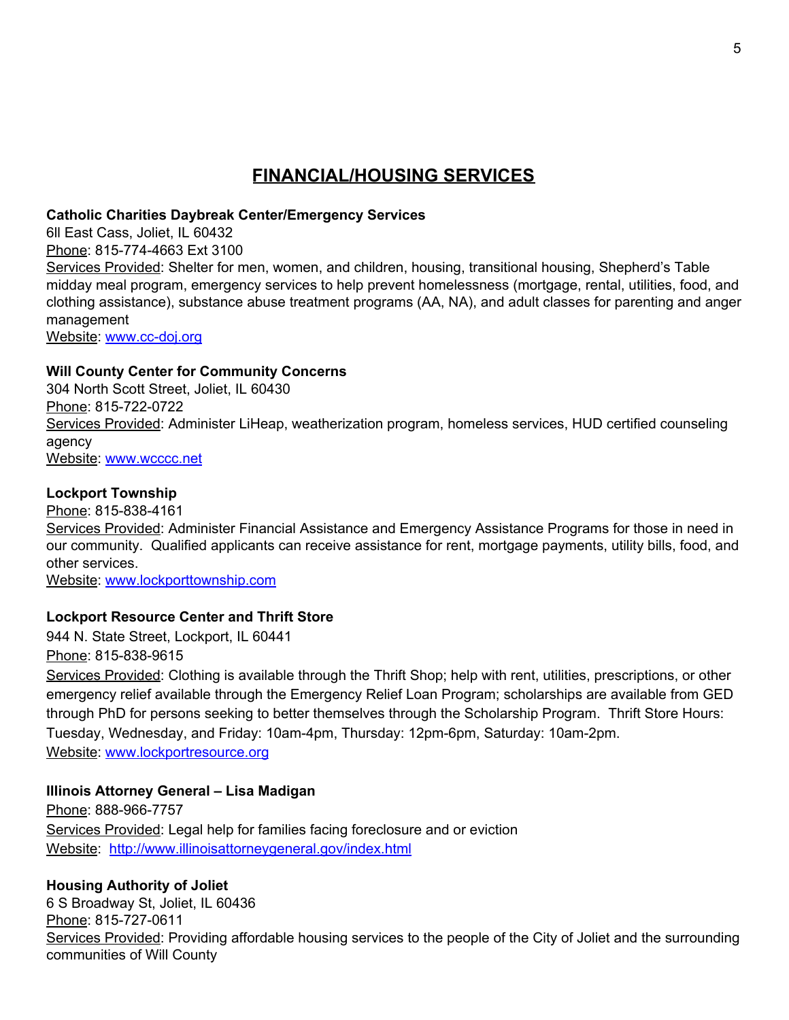# **FINANCIAL/HOUSING SERVICES**

### **Catholic Charities Daybreak Center/Emergency Services**

6ll East Cass, Joliet, IL 60432 Phone: 815-774-4663 Ext 3100 Services Provided: Shelter for men, women, and children, housing, transitional housing, Shepherd's Table midday meal program, emergency services to help prevent homelessness (mortgage, rental, utilities, food, and clothing assistance), substance abuse treatment programs (AA, NA), and adult classes for parenting and anger

management

Website: [www.cc-doj.org](http://www.cc-doj.org/)

# **Will County Center for Community Concerns**

304 North Scott Street, Joliet, IL 60430 Phone: 815-722-0722 Services Provided: Administer LiHeap, weatherization program, homeless services, HUD certified counseling agency Website: [www.wcccc.net](http://www.wcccc.net/)

# **Lockport Township**

Phone: 815-838-4161 Services Provided: Administer Financial Assistance and Emergency Assistance Programs for those in need in our community. Qualified applicants can receive assistance for rent, mortgage payments, utility bills, food, and other services.

Website: [www.lockporttownship.com](http://www.lockporttownship.com/)

# **Lockport Resource Center and Thrift Store**

944 N. State Street, Lockport, IL 60441

Phone: 815-838-9615

Services Provided: Clothing is available through the Thrift Shop; help with rent, utilities, prescriptions, or other emergency relief available through the Emergency Relief Loan Program; scholarships are available from GED through PhD for persons seeking to better themselves through the Scholarship Program. Thrift Store Hours: Tuesday, Wednesday, and Friday: 10am-4pm, Thursday: 12pm-6pm, Saturday: 10am-2pm. Website: [www.lockportresource.org](http://www.lockportresource.org/)

# **Illinois Attorney General – Lisa Madigan**

Phone: 888-966-7757 Services Provided: Legal help for families facing foreclosure and or eviction Website: <http://www.illinoisattorneygeneral.gov/index.html>

# **Housing Authority of Joliet**

6 S Broadway St, Joliet, IL 60436 Phone: 815-727-0611 Services Provided: Providing affordable housing services to the people of the City of Joliet and the surrounding communities of Will County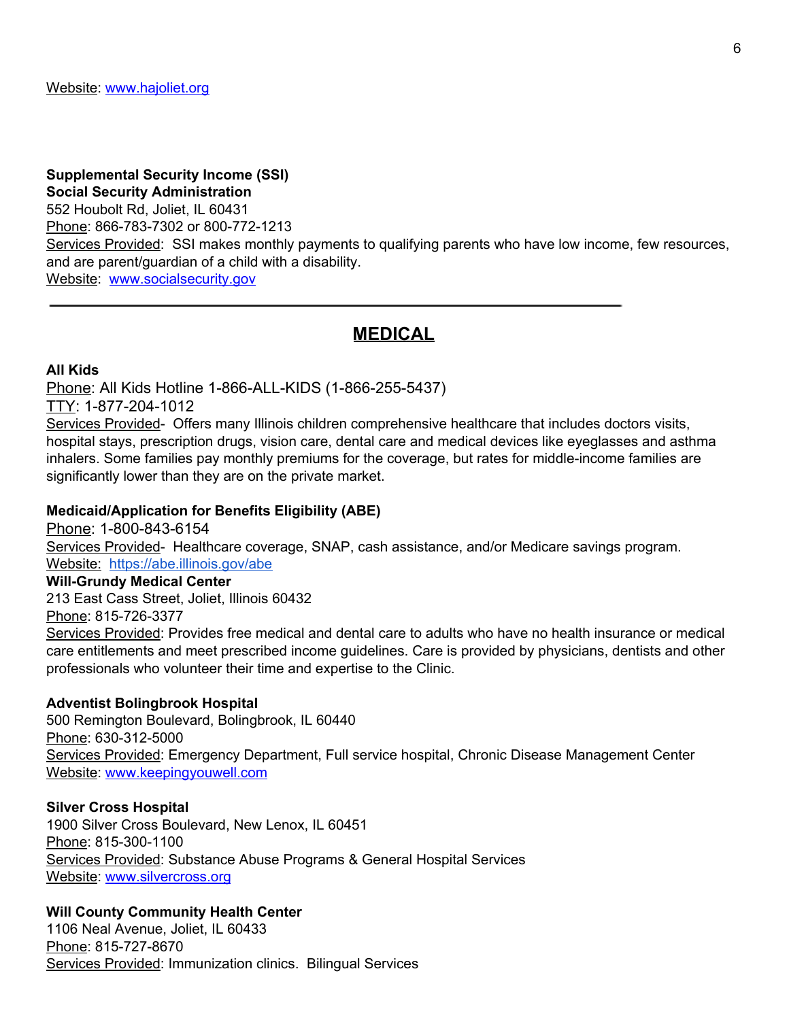# **Supplemental Security Income (SSI) Social Security Administration** 552 Houbolt Rd, Joliet, IL 60431 Phone: 866-783-7302 or 800-772-1213 Services Provided: SSI makes monthly payments to qualifying parents who have low income, few resources, and are parent/guardian of a child with a disability. Website: [www.socialsecurity.gov](http://www.socialsecurity.gov/)

# **MEDICAL**

#### **All Kids**

Phone: All Kids Hotline 1-866-ALL-KIDS (1-866-255-5437)

# TTY: 1-877-204-1012

Services Provided- Offers many Illinois children comprehensive healthcare that includes doctors visits, hospital stays, prescription drugs, vision care, dental care and medical devices like eyeglasses and asthma inhalers. Some families pay monthly premiums for the coverage, but rates for middle-income families are significantly lower than they are on the private market.

#### **Medicaid/Application for Benefits Eligibility (ABE)**

Phone: 1-800-843-6154 Services Provided- Healthcare coverage, SNAP, cash assistance, and/or Medicare savings program. Website: <https://abe.illinois.gov/abe>

#### **Will-Grundy Medical Center**

213 East Cass Street, Joliet, Illinois 60432

#### Phone: 815-726-3377

Services Provided: Provides free medical and dental care to adults who have no health insurance or medical care entitlements and meet prescribed income guidelines. Care is provided by physicians, dentists and other professionals who volunteer their time and expertise to the Clinic.

#### **Adventist Bolingbrook Hospital**

500 Remington Boulevard, Bolingbrook, IL 60440 Phone: 630-312-5000 Services Provided: Emergency Department, Full service hospital, Chronic Disease Management Center Website: [www.keepingyouwell.com](http://www.keepingyouwell.com/)

#### **Silver Cross Hospital**

1900 Silver Cross Boulevard, New Lenox, IL 60451 Phone: 815-300-1100 Services Provided: Substance Abuse Programs & General Hospital Services Website: [www.silvercross.org](http://www.silvercross.org/)

#### **Will County Community Health Center**

1106 Neal Avenue, Joliet, IL 60433 Phone: 815-727-8670 Services Provided: Immunization clinics. Bilingual Services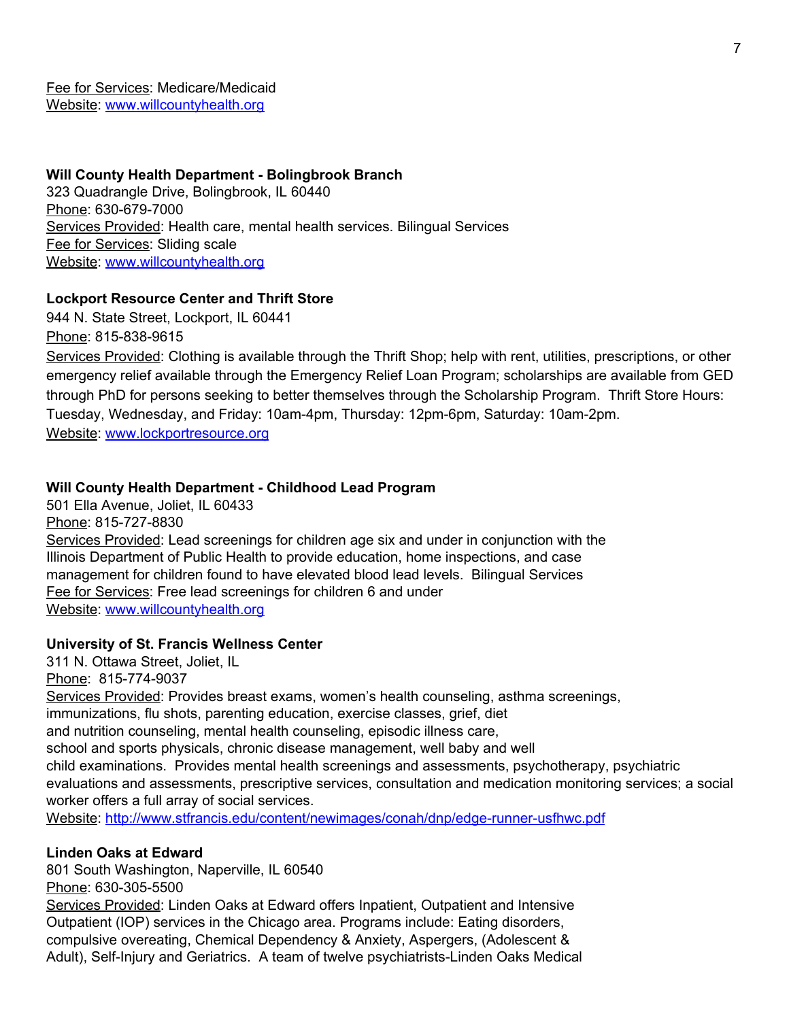Fee for Services: Medicare/Medicaid Website: [www.willcountyhealth.org](http://www.willcountyhealth.org/)

#### **Will County Health Department - Bolingbrook Branch**

323 Quadrangle Drive, Bolingbrook, IL 60440 Phone: 630-679-7000 Services Provided: Health care, mental health services. Bilingual Services Fee for Services: Sliding scale Website: [www.willcountyhealth.org](http://www.willcountyhealth.org/)

### **Lockport Resource Center and Thrift Store**

944 N. State Street, Lockport, IL 60441 Phone: 815-838-9615

Services Provided: Clothing is available through the Thrift Shop; help with rent, utilities, prescriptions, or other emergency relief available through the Emergency Relief Loan Program; scholarships are available from GED through PhD for persons seeking to better themselves through the Scholarship Program. Thrift Store Hours: Tuesday, Wednesday, and Friday: 10am-4pm, Thursday: 12pm-6pm, Saturday: 10am-2pm. Website: [www.lockportresource.org](http://www.lockportresource.org/)

#### **Will County Health Department - Childhood Lead Program**

501 Ella Avenue, Joliet, IL 60433 Phone: 815-727-8830 Services Provided: Lead screenings for children age six and under in conjunction with the Illinois Department of Public Health to provide education, home inspections, and case management for children found to have elevated blood lead levels. Bilingual Services Fee for Services: Free lead screenings for children 6 and under Website: [www.willcountyhealth.org](http://www.willcountyhealth.org/)

#### **University of St. Francis Wellness Center**

311 N. Ottawa Street, Joliet, IL Phone: 815-774-9037 Services Provided: Provides breast exams, women's health counseling, asthma screenings, immunizations, flu shots, parenting education, exercise classes, grief, diet and nutrition counseling, mental health counseling, episodic illness care, school and sports physicals, chronic disease management, well baby and well child examinations. Provides mental health screenings and assessments, psychotherapy, psychiatric evaluations and assessments, prescriptive services, consultation and medication monitoring services; a social worker offers a full array of social services. Website: <http://www.stfrancis.edu/content/newimages/conah/dnp/edge-runner-usfhwc.pdf>

#### **Linden Oaks at Edward**

801 South Washington, Naperville, IL 60540

Phone: 630-305-5500

Services Provided: Linden Oaks at Edward offers Inpatient, Outpatient and Intensive Outpatient (IOP) services in the Chicago area. Programs include: Eating disorders, compulsive overeating, Chemical Dependency & Anxiety, Aspergers, (Adolescent & Adult), Self-Injury and Geriatrics. A team of twelve psychiatrists-Linden Oaks Medical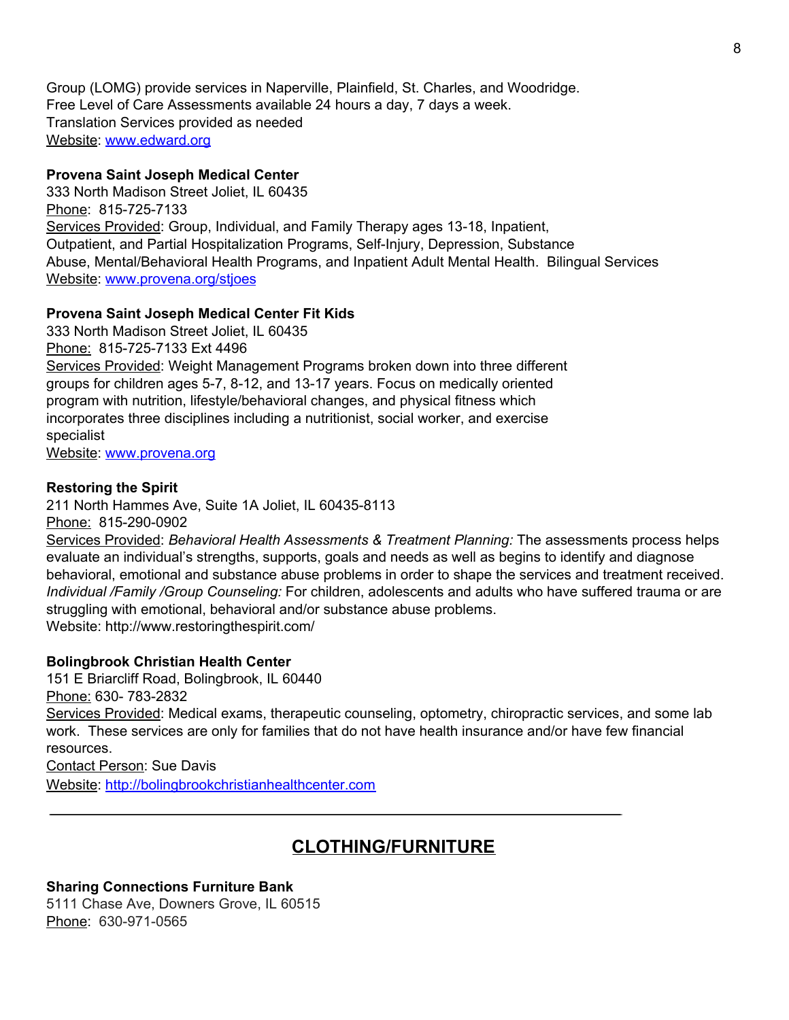Group (LOMG) provide services in Naperville, Plainfield, St. Charles, and Woodridge. Free Level of Care Assessments available 24 hours a day, 7 days a week. Translation Services provided as needed Website: [www.edward.org](http://www.edward.org/)

#### **Provena Saint Joseph Medical Center**

333 North Madison Street Joliet, IL 60435 Phone: 815-725-7133 Services Provided: Group, Individual, and Family Therapy ages 13-18, Inpatient, Outpatient, and Partial Hospitalization Programs, Self-Injury, Depression, Substance Abuse, Mental/Behavioral Health Programs, and Inpatient Adult Mental Health. Bilingual Services Website: [www.provena.org/stjoes](http://www.provena.org/stjoes)

#### **Provena Saint Joseph Medical Center Fit Kids**

333 North Madison Street Joliet, IL 60435 Phone: 815-725-7133 Ext 4496 Services Provided: Weight Management Programs broken down into three different groups for children ages 5-7, 8-12, and 13-17 years. Focus on medically oriented program with nutrition, lifestyle/behavioral changes, and physical fitness which incorporates three disciplines including a nutritionist, social worker, and exercise specialist

Website: [www.provena.org](http://www.provena.org/)

#### **Restoring the Spirit**

211 North Hammes Ave, Suite 1A Joliet, IL 60435-8113 Phone: 815-290-0902

Services Provided: *Behavioral Health Assessments & Treatment Planning:* The assessments process helps evaluate an individual's strengths, supports, goals and needs as well as begins to identify and diagnose behavioral, emotional and substance abuse problems in order to shape the services and treatment received. *Individual /Family /Group Counseling:* For children, adolescents and adults who have suffered trauma or are struggling with emotional, behavioral and/or substance abuse problems. Website: http://www.restoringthespirit.com/

#### **Bolingbrook Christian Health Center**

151 E Briarcliff Road, Bolingbrook, IL 60440

Phone: 630- 783-2832

Services Provided: Medical exams, therapeutic counseling, optometry, chiropractic services, and some lab work. These services are only for families that do not have health insurance and/or have few financial resources.

## Contact Person: Sue Davis

Website: [http://bolingbrookchristianhealthcenter.com](http://bolingbrookchristianhealthcenter.com/)

# **CLOTHING/FURNITURE**

#### **Sharing Connections Furniture Bank**

5111 Chase Ave, Downers Grove, IL 60515 Phone: 630-971-0565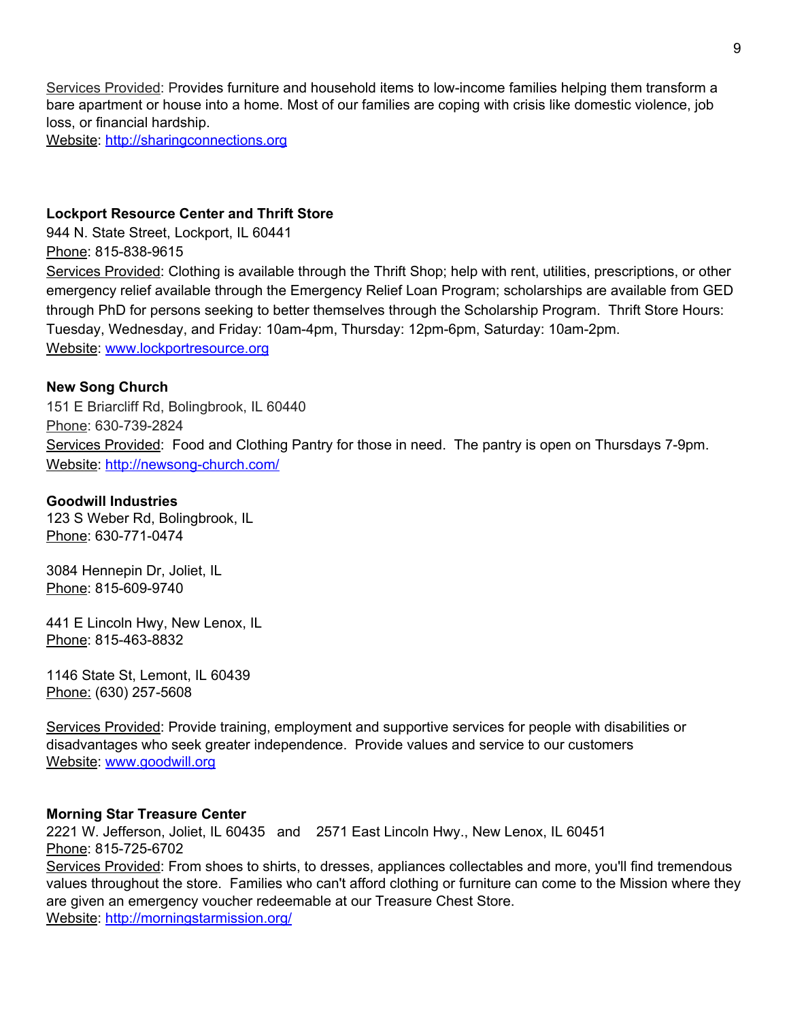Services Provided: Provides furniture and household items to low-income families helping them transform a bare apartment or house into a home. Most of our families are coping with crisis like domestic violence, job loss, or financial hardship.

Website: [http://sharingconnections.org](http://sharingconnections.org/)

### **Lockport Resource Center and Thrift Store**

944 N. State Street, Lockport, IL 60441 Phone: 815-838-9615 Services Provided: Clothing is available through the Thrift Shop; help with rent, utilities, prescriptions, or other emergency relief available through the Emergency Relief Loan Program; scholarships are available from GED through PhD for persons seeking to better themselves through the Scholarship Program. Thrift Store Hours: Tuesday, Wednesday, and Friday: 10am-4pm, Thursday: 12pm-6pm, Saturday: 10am-2pm. Website: [www.lockportresource.org](http://www.lockportresource.org/)

### **New Song Church**

151 E Briarcliff Rd, Bolingbrook, IL 60440 Phone: 630-739-2824 Services Provided: Food and Clothing Pantry for those in need. The pantry is open on Thursdays 7-9pm. Website: <http://newsong-church.com/>

#### **Goodwill Industries**

123 S Weber Rd, Bolingbrook, IL Phone: 630-771-0474

3084 Hennepin Dr, Joliet, IL Phone: 815-609-9740

441 E Lincoln Hwy, New Lenox, IL Phone: 815-463-8832

1146 State St, Lemont, IL 60439 Phone: (630) 257-5608

Services Provided: Provide training, employment and supportive services for people with disabilities or disadvantages who seek greater independence. Provide values and service to our customers Website: [www.goodwill.org](http://www.goodwill.org/)

#### **Morning Star Treasure Center**

2221 W. Jefferson, Joliet, IL 60435 and 2571 East Lincoln Hwy., New Lenox, IL 60451 Phone: 815-725-6702 Services Provided: From shoes to shirts, to dresses, appliances collectables and more, you'll find tremendous values throughout the store. Families who can't afford clothing or furniture can come to the Mission where they are given an emergency voucher redeemable at our Treasure Chest Store. Website: <http://morningstarmission.org/>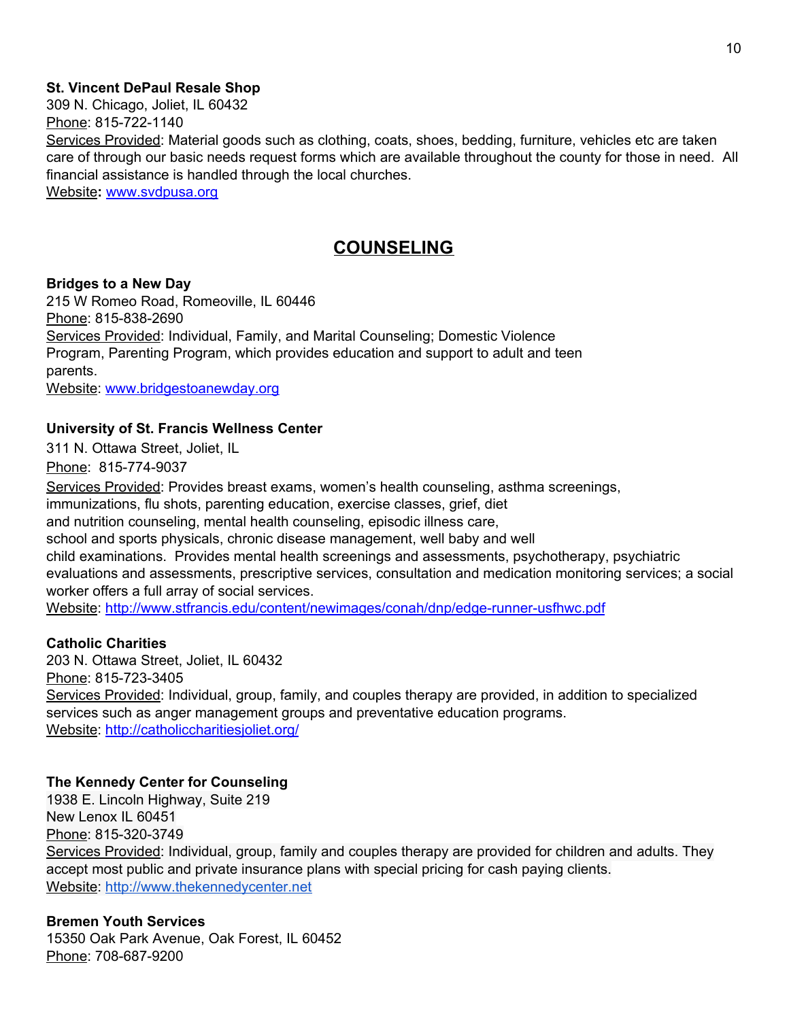#### **St. Vincent DePaul Resale Shop**

309 N. Chicago, Joliet, IL 60432

Phone: 815-722-1140

Services Provided: Material goods such as clothing, coats, shoes, bedding, furniture, vehicles etc are taken care of through our basic needs request forms which are available throughout the county for those in need. All financial assistance is handled through the local churches.

Website**:** [www.svdpusa.org](http://www.svdpusa.org/)

# **COUNSELING**

#### **Bridges to a New Day**

215 W Romeo Road, Romeoville, IL 60446 Phone: 815-838-2690 Services Provided: Individual, Family, and Marital Counseling; Domestic Violence Program, Parenting Program, which provides education and support to adult and teen parents.

Website: [www.bridgestoanewday.org](http://www.bridgestoanewday.org/)

### **University of St. Francis Wellness Center**

311 N. Ottawa Street, Joliet, IL

Phone: 815-774-9037

Services Provided: Provides breast exams, women's health counseling, asthma screenings,

immunizations, flu shots, parenting education, exercise classes, grief, diet

and nutrition counseling, mental health counseling, episodic illness care,

school and sports physicals, chronic disease management, well baby and well

child examinations. Provides mental health screenings and assessments, psychotherapy, psychiatric evaluations and assessments, prescriptive services, consultation and medication monitoring services; a social worker offers a full array of social services.

Website: <http://www.stfrancis.edu/content/newimages/conah/dnp/edge-runner-usfhwc.pdf>

#### **Catholic Charities**

203 N. Ottawa Street, Joliet, IL 60432 Phone: 815-723-3405 Services Provided: Individual, group, family, and couples therapy are provided, in addition to specialized services such as anger management groups and preventative education programs. Website: <http://catholiccharitiesjoliet.org/>

#### **The Kennedy Center for Counseling**

1938 E. Lincoln Highway, Suite 219 New Lenox IL 60451 Phone: 815-320-3749 Services Provided: Individual, group, family and couples therapy are provided for children and adults. They accept most public and private insurance plans with special pricing for cash paying clients. Website: [http://www.thekennedycenter.net](http://www.thekennedycenter.net/)

#### **Bremen Youth Services**

15350 Oak Park Avenue, Oak Forest, IL 60452 Phone: 708-687-9200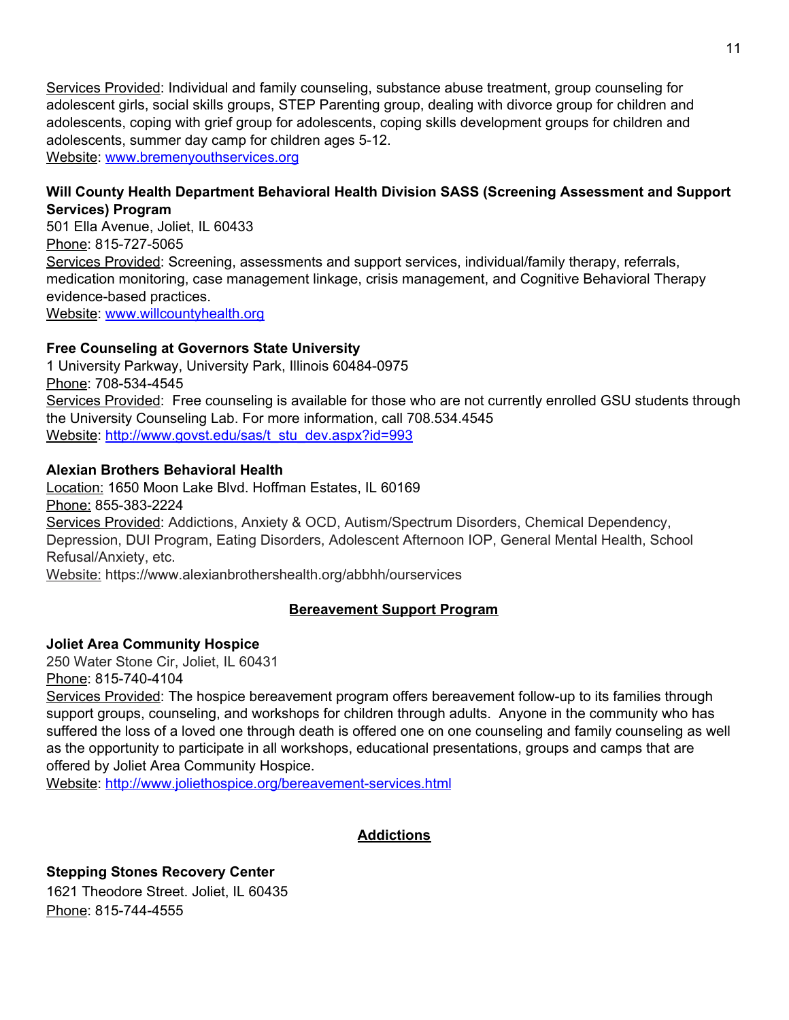Services Provided: Individual and family counseling, substance abuse treatment, group counseling for adolescent girls, social skills groups, STEP Parenting group, dealing with divorce group for children and adolescents, coping with grief group for adolescents, coping skills development groups for children and adolescents, summer day camp for children ages 5-12. Website: [www.bremenyouthservices.org](http://www.bremenyouthservices.org/)

### **Will County Health Department Behavioral Health Division SASS (Screening Assessment and Support Services) Program**

501 Ella Avenue, Joliet, IL 60433 Phone: 815-727-5065 Services Provided: Screening, assessments and support services, individual/family therapy, referrals, medication monitoring, case management linkage, crisis management, and Cognitive Behavioral Therapy evidence-based practices. Website: [www.willcountyhealth.org](http://www.willcountyhealth.org/)

# **Free Counseling at Governors State University**

1 University Parkway, University Park, Illinois 60484-0975 Phone: 708-534-4545 Services Provided: Free counseling is available for those who are not currently enrolled GSU students through the University Counseling Lab. For more information, call 708.534.4545 Website: [http://www.govst.edu/sas/t\\_stu\\_dev.aspx?id=993](http://www.govst.edu/sas/t_stu_dev.aspx?id=993)

### **Alexian Brothers Behavioral Health**

Location: 1650 Moon Lake Blvd. Hoffman Estates, IL 60169 Phone: 855-383-2224 Services Provided: Addictions, Anxiety & OCD, Autism/Spectrum Disorders, Chemical Dependency, Depression, DUI Program, Eating Disorders, Adolescent Afternoon IOP, General Mental Health, School Refusal/Anxiety, etc.

Website: https://www.alexianbrothershealth.org/abbhh/ourservices

# **Bereavement Support Program**

# **Joliet Area Community Hospice**

250 Water Stone Cir, Joliet, IL 60431 Phone: 815-740-4104

Services Provided: The hospice bereavement program offers bereavement follow-up to its families through support groups, counseling, and workshops for children through adults. Anyone in the community who has suffered the loss of a loved one through death is offered one on one counseling and family counseling as well as the opportunity to participate in all workshops, educational presentations, groups and camps that are offered by Joliet Area Community Hospice.

Website: <http://www.joliethospice.org/bereavement-services.html>

# **Addictions**

**Stepping Stones Recovery Center** 1621 Theodore Street. Joliet, IL 60435 Phone: 815-744-4555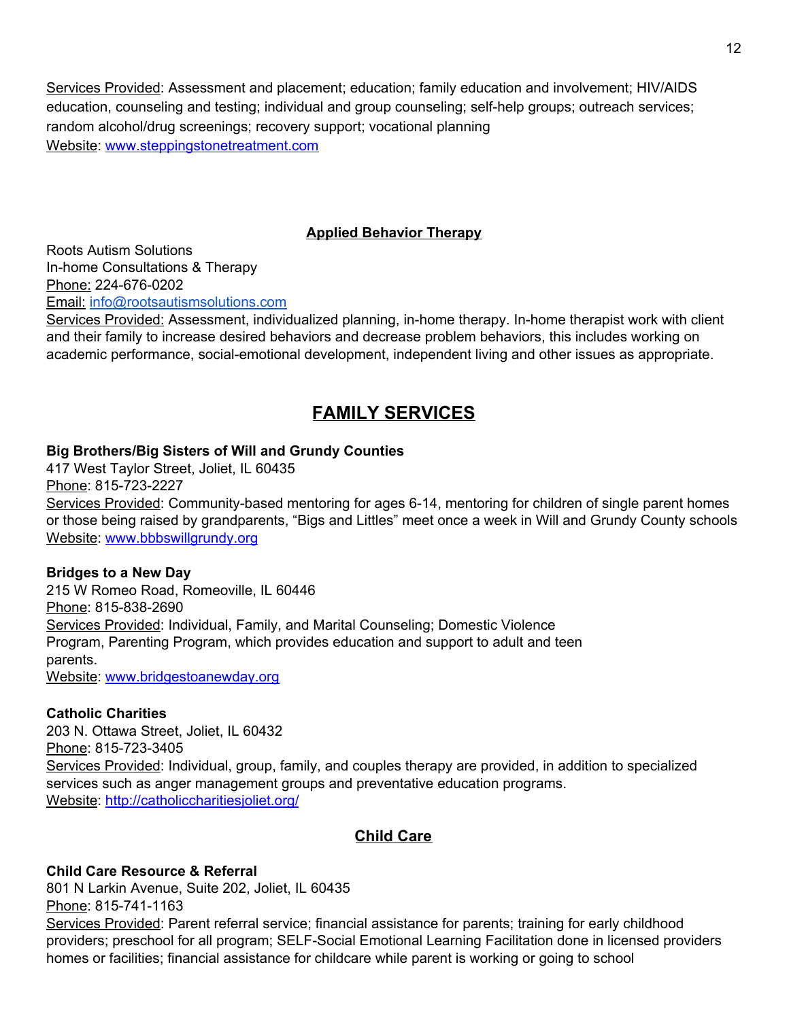Services Provided: Assessment and placement; education; family education and involvement; HIV/AIDS education, counseling and testing; individual and group counseling; self-help groups; outreach services; random alcohol/drug screenings; recovery support; vocational planning Website: [www.steppingstonetreatment.com](http://www.steppingstonetreatment.com/)

## **Applied Behavior Therapy**

Roots Autism Solutions In-home Consultations & Therapy Phone: 224-676-0202 Email: [info@rootsautismsolutions.com](mailto:info@rootsautismsolutions.com)

Services Provided: Assessment, individualized planning, in-home therapy. In-home therapist work with client and their family to increase desired behaviors and decrease problem behaviors, this includes working on academic performance, social-emotional development, independent living and other issues as appropriate.

# **FAMILY SERVICES**

#### **Big Brothers/Big Sisters of Will and Grundy Counties**

417 West Taylor Street, Joliet, IL 60435 Phone: 815-723-2227 Services Provided: Community-based mentoring for ages 6-14, mentoring for children of single parent homes or those being raised by grandparents, "Bigs and Littles" meet once a week in Will and Grundy County schools Website: [www.bbbswillgrundy.org](http://www.bbbswillgrundy.org/)

#### **Bridges to a New Day**

215 W Romeo Road, Romeoville, IL 60446 Phone: 815-838-2690 Services Provided: Individual, Family, and Marital Counseling; Domestic Violence Program, Parenting Program, which provides education and support to adult and teen parents. Website: [www.bridgestoanewday.org](http://www.bridgestoanewday.org/)

#### **Catholic Charities**

203 N. Ottawa Street, Joliet, IL 60432 Phone: 815-723-3405 Services Provided: Individual, group, family, and couples therapy are provided, in addition to specialized services such as anger management groups and preventative education programs. Website: <http://catholiccharitiesjoliet.org/>

#### **Child Care**

#### **Child Care Resource & Referral**

801 N Larkin Avenue, Suite 202, Joliet, IL 60435 Phone: 815-741-1163 Services Provided: Parent referral service; financial assistance for parents; training for early childhood providers; preschool for all program; SELF-Social Emotional Learning Facilitation done in licensed providers homes or facilities; financial assistance for childcare while parent is working or going to school